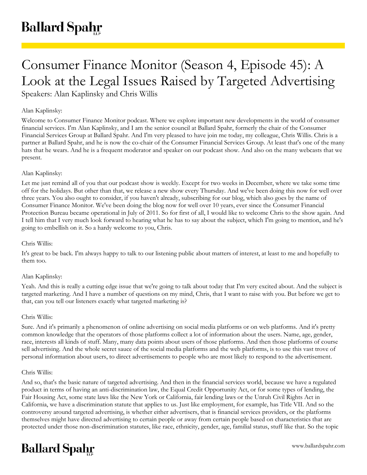# Consumer Finance Monitor (Season 4, Episode 45): A Look at the Legal Issues Raised by Targeted Advertising

Speakers: Alan Kaplinsky and Chris Willis

## Alan Kaplinsky:

Welcome to Consumer Finance Monitor podcast. Where we explore important new developments in the world of consumer financial services. I'm Alan Kaplinsky, and I am the senior council at Ballard Spahr, formerly the chair of the Consumer Financial Services Group at Ballard Spahr. And I'm very pleased to have join me today, my colleague, Chris Willis. Chris is a partner at Ballard Spahr, and he is now the co-chair of the Consumer Financial Services Group. At least that's one of the many hats that he wears. And he is a frequent moderator and speaker on our podcast show. And also on the many webcasts that we present.

## Alan Kaplinsky:

Let me just remind all of you that our podcast show is weekly. Except for two weeks in December, where we take some time off for the holidays. But other than that, we release a new show every Thursday. And we've been doing this now for well over three years. You also ought to consider, if you haven't already, subscribing for our blog, which also goes by the name of Consumer Finance Monitor. We've been doing the blog now for well over 10 years, ever since the Consumer Financial Protection Bureau became operational in July of 2011. So for first of all, I would like to welcome Chris to the show again. And I tell him that I very much look forward to hearing what he has to say about the subject, which I'm going to mention, and he's going to embellish on it. So a hardy welcome to you, Chris.

#### Chris Willis:

It's great to be back. I'm always happy to talk to our listening public about matters of interest, at least to me and hopefully to them too.

#### Alan Kaplinsky:

Yeah. And this is really a cutting edge issue that we're going to talk about today that I'm very excited about. And the subject is targeted marketing. And I have a number of questions on my mind, Chris, that I want to raise with you. But before we get to that, can you tell our listeners exactly what targeted marketing is?

#### Chris Willis:

Sure. And it's primarily a phenomenon of online advertising on social media platforms or on web platforms. And it's pretty common knowledge that the operators of those platforms collect a lot of information about the users. Name, age, gender, race, interests all kinds of stuff. Many, many data points about users of those platforms. And then those platforms of course sell advertising. And the whole secret sauce of the social media platforms and the web platforms, is to use this vast trove of personal information about users, to direct advertisements to people who are most likely to respond to the advertisement.

#### Chris Willis:

And so, that's the basic nature of targeted advertising. And then in the financial services world, because we have a regulated product in terms of having an anti-discrimination law, the Equal Credit Opportunity Act, or for some types of lending, the Fair Housing Act, some state laws like the New York or California, fair lending laws or the Unruh Civil Rights Act in California, we have a discrimination statute that applies to us. Just like employment, for example, has Title VII. And so the controversy around targeted advertising, is whether either advertisers, that is financial services providers, or the platforms themselves might have directed advertising to certain people or away from certain people based on characteristics that are protected under those non-discrimination statutes, like race, ethnicity, gender, age, familial status, stuff like that. So the topic

## **Ballard Spahr**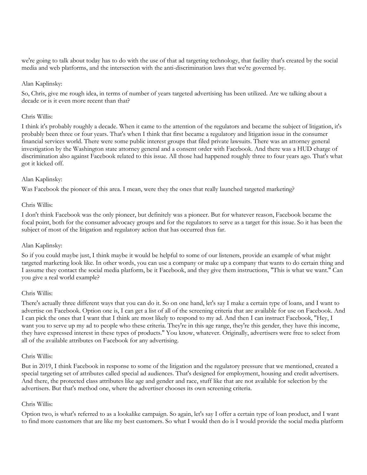we're going to talk about today has to do with the use of that ad targeting technology, that facility that's created by the social media and web platforms, and the intersection with the anti-discrimination laws that we're governed by.

## Alan Kaplinsky:

So, Chris, give me rough idea, in terms of number of years targeted advertising has been utilized. Are we talking about a decade or is it even more recent than that?

#### Chris Willis:

I think it's probably roughly a decade. When it came to the attention of the regulators and became the subject of litigation, it's probably been three or four years. That's when I think that first became a regulatory and litigation issue in the consumer financial services world. There were some public interest groups that filed private lawsuits. There was an attorney general investigation by the Washington state attorney general and a consent order with Facebook. And there was a HUD charge of discrimination also against Facebook related to this issue. All those had happened roughly three to four years ago. That's what got it kicked off.

## Alan Kaplinsky:

Was Facebook the pioneer of this area. I mean, were they the ones that really launched targeted marketing?

## Chris Willis:

I don't think Facebook was the only pioneer, but definitely was a pioneer. But for whatever reason, Facebook became the focal point, both for the consumer advocacy groups and for the regulators to serve as a target for this issue. So it has been the subject of most of the litigation and regulatory action that has occurred thus far.

## Alan Kaplinsky:

So if you could maybe just, I think maybe it would be helpful to some of our listeners, provide an example of what might targeted marketing look like. In other words, you can use a company or make up a company that wants to do certain thing and I assume they contact the social media platform, be it Facebook, and they give them instructions, "This is what we want." Can you give a real world example?

#### Chris Willis:

There's actually three different ways that you can do it. So on one hand, let's say I make a certain type of loans, and I want to advertise on Facebook. Option one is, I can get a list of all of the screening criteria that are available for use on Facebook. And I can pick the ones that I want that I think are most likely to respond to my ad. And then I can instruct Facebook, "Hey, I want you to serve up my ad to people who these criteria. They're in this age range, they're this gender, they have this income, they have expressed interest in these types of products." You know, whatever. Originally, advertisers were free to select from all of the available attributes on Facebook for any advertising.

#### Chris Willis:

But in 2019, I think Facebook in response to some of the litigation and the regulatory pressure that we mentioned, created a special targeting set of attributes called special ad audiences. That's designed for employment, housing and credit advertisers. And there, the protected class attributes like age and gender and race, stuff like that are not available for selection by the advertisers. But that's method one, where the advertiser chooses its own screening criteria.

#### Chris Willis:

Option two, is what's referred to as a lookalike campaign. So again, let's say I offer a certain type of loan product, and I want to find more customers that are like my best customers. So what I would then do is I would provide the social media platform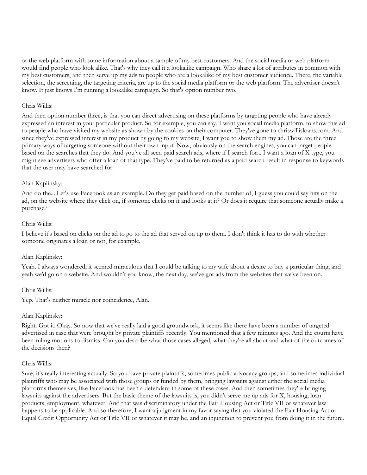or the web platform with some information about a sample of my best customers. And the social media or web platform would find people who look alike. That's why they call it a lookalike campaign. Who share a lot of attributes in common with my best customers, and then serve up my ads to people who are a lookalike of my best customer audience. There, the variable selection, the screening, the targeting criteria, are up to the social media platform or the web platform. The advertiser doesn't know. It just knows I'm running a lookalike campaign. So that's option number two.

#### Chris Willis:

And then option number three, is that you can direct advertising on these platforms by targeting people who have already expressed an interest in your particular product. So for example, you can say, I want you social media platform, to show this ad to people who have visited my website as shown by the cookies on their computer. They've gone to chriswillisloans.com. And since they've expressed interest in my product by going to my website, I want you to show them my ad. Those are the three primary ways of targeting someone without their own input. Now, obviously on the search engines, you can target people based on the searches that they do. And you've all seen paid search ads, where if I search for... I want a loan of X type, you might see advertisers who offer a loan of that type. They've paid to be returned as a paid search result in response to keywords that the user may have searched for.

## Alan Kaplinsky:

And do the... Let's use Facebook as an example. Do they get paid based on the number of, I guess you could say hits on the ad, on the website where they click on, if someone clicks on it and looks at it? Or does it require that someone actually make a purchase?

#### Chris Willis:

I believe it's based on clicks on the ad to go to the ad that served on up to them. I don't think it has to do with whether someone originates a loan or not, for example.

#### Alan Kaplinsky:

Yeah. I always wondered, it seemed miraculous that I could be talking to my wife about a desire to buy a particular thing, and yeah we'd go on a website. And wouldn't you know, the next day, we've got ads from the websites that we've been on.

#### Chris Willis:

Yep. That's neither miracle nor coincidence, Alan.

#### Alan Kaplinsky:

Right. Got it. Okay. So now that we've really laid a good groundwork, it seems like there have been a number of targeted advertised in case that were brought by private plaintiffs recently. You mentioned that a few minutes ago. And the courts have been ruling motions to dismiss. Can you describe what those cases alleged, what they're all about and what of the outcomes of the decisions then?

#### Chris Willis:

Sure, it's really interesting actually. So you have private plaintiffs, sometimes public advocacy groups, and sometimes individual plaintiffs who may be associated with those groups or funded by them, bringing lawsuits against either the social media platforms themselves, like Facebook has been a defendant in some of these cases. And then sometimes they're bringing lawsuits against the advertisers. But the basic theme of the lawsuits is, you didn't serve me up ads for X, housing, loan products, employment, whatever. And that was discriminatory under the Fair Housing Act or Title VII or whatever law happens to be applicable. And so therefore, I want a judgment in my favor saying that you violated the Fair Housing Act or Equal Credit Opportunity Act or Title VII or whatever it may be, and an injunction to prevent you from doing it in the future.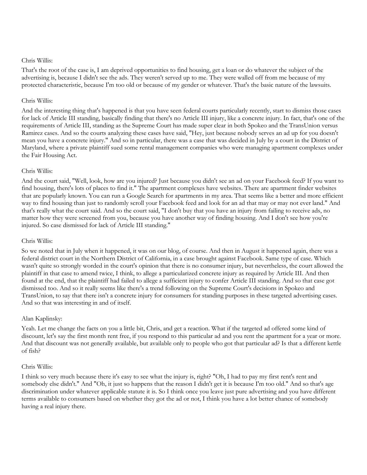#### Chris Willis:

That's the root of the case is, I am deprived opportunities to find housing, get a loan or do whatever the subject of the advertising is, because I didn't see the ads. They weren't served up to me. They were walled off from me because of my protected characteristic, because I'm too old or because of my gender or whatever. That's the basic nature of the lawsuits.

## Chris Willis:

And the interesting thing that's happened is that you have seen federal courts particularly recently, start to dismiss those cases for lack of Article III standing, basically finding that there's no Article III injury, like a concrete injury. In fact, that's one of the requirements of Article III, standing as the Supreme Court has made super clear in both Spokeo and the TransUnion versus Ramirez cases. And so the courts analyzing these cases have said, "Hey, just because nobody serves an ad up for you doesn't mean you have a concrete injury." And so in particular, there was a case that was decided in July by a court in the District of Maryland, where a private plaintiff sued some rental management companies who were managing apartment complexes under the Fair Housing Act.

## Chris Willis:

And the court said, "Well, look, how are you injured? Just because you didn't see an ad on your Facebook feed? If you want to find housing, there's lots of places to find it." The apartment complexes have websites. There are apartment finder websites that are popularly known. You can run a Google Search for apartments in my area. That seems like a better and more efficient way to find housing than just to randomly scroll your Facebook feed and look for an ad that may or may not ever land." And that's really what the court said. And so the court said, "I don't buy that you have an injury from failing to receive ads, no matter how they were screened from you, because you have another way of finding housing. And I don't see how you're injured. So case dismissed for lack of Article III standing."

## Chris Willis:

So we noted that in July when it happened, it was on our blog, of course. And then in August it happened again, there was a federal district court in the Northern District of California, in a case brought against Facebook. Same type of case. Which wasn't quite so strongly worded in the court's opinion that there is no consumer injury, but nevertheless, the court allowed the plaintiff in that case to amend twice, I think, to allege a particularized concrete injury as required by Article III. And then found at the end, that the plaintiff had failed to allege a sufficient injury to confer Article III standing. And so that case got dismissed too. And so it really seems like there's a trend following on the Supreme Court's decisions in Spokeo and TransUnion, to say that there isn't a concrete injury for consumers for standing purposes in these targeted advertising cases. And so that was interesting in and of itself.

## Alan Kaplinsky:

Yeah. Let me change the facts on you a little bit, Chris, and get a reaction. What if the targeted ad offered some kind of discount, let's say the first month rent free, if you respond to this particular ad and you rent the apartment for a year or more. And that discount was not generally available, but available only to people who got that particular ad? Is that a different kettle of fish?

#### Chris Willis:

I think so very much because there it's easy to see what the injury is, right? "Oh, I had to pay my first rent's rent and somebody else didn't." And "Oh, it just so happens that the reason I didn't get it is because I'm too old." And so that's age discrimination under whatever applicable statute it is. So I think once you leave just pure advertising and you have different terms available to consumers based on whether they got the ad or not, I think you have a lot better chance of somebody having a real injury there.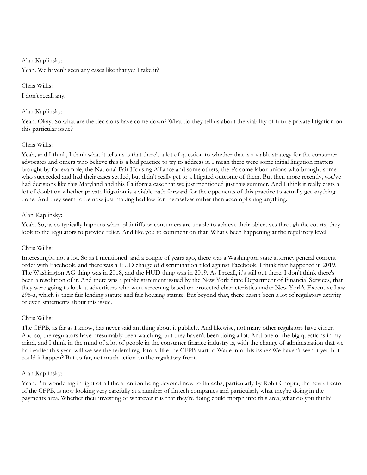#### Alan Kaplinsky:

Yeah. We haven't seen any cases like that yet I take it?

## Chris Willis:

I don't recall any.

## Alan Kaplinsky:

Yeah. Okay. So what are the decisions have come down? What do they tell us about the viability of future private litigation on this particular issue?

## Chris Willis:

Yeah, and I think, I think what it tells us is that there's a lot of question to whether that is a viable strategy for the consumer advocates and others who believe this is a bad practice to try to address it. I mean there were some initial litigation matters brought by for example, the National Fair Housing Alliance and some others, there's some labor unions who brought some who succeeded and had their cases settled, but didn't really get to a litigated outcome of them. But then more recently, you've had decisions like this Maryland and this California case that we just mentioned just this summer. And I think it really casts a lot of doubt on whether private litigation is a viable path forward for the opponents of this practice to actually get anything done. And they seem to be now just making bad law for themselves rather than accomplishing anything.

## Alan Kaplinsky:

Yeah. So, as so typically happens when plaintiffs or consumers are unable to achieve their objectives through the courts, they look to the regulators to provide relief. And like you to comment on that. What's been happening at the regulatory level.

## Chris Willis:

Interestingly, not a lot. So as I mentioned, and a couple of years ago, there was a Washington state attorney general consent order with Facebook, and there was a HUD charge of discrimination filed against Facebook. I think that happened in 2019. The Washington AG thing was in 2018, and the HUD thing was in 2019. As I recall, it's still out there. I don't think there's been a resolution of it. And there was a public statement issued by the New York State Department of Financial Services, that they were going to look at advertisers who were screening based on protected characteristics under New York's Executive Law 296-a, which is their fair lending statute and fair housing statute. But beyond that, there hasn't been a lot of regulatory activity or even statements about this issue.

## Chris Willis:

The CFPB, as far as I know, has never said anything about it publicly. And likewise, not many other regulators have either. And so, the regulators have presumably been watching, but they haven't been doing a lot. And one of the big questions in my mind, and I think in the mind of a lot of people in the consumer finance industry is, with the change of administration that we had earlier this year, will we see the federal regulators, like the CFPB start to Wade into this issue? We haven't seen it yet, but could it happen? But so far, not much action on the regulatory front.

## Alan Kaplinsky:

Yeah. I'm wondering in light of all the attention being devoted now to fintechs, particularly by Rohit Chopra, the new director of the CFPB, is now looking very carefully at a number of fintech companies and particularly what they're doing in the payments area. Whether their investing or whatever it is that they're doing could morph into this area, what do you think?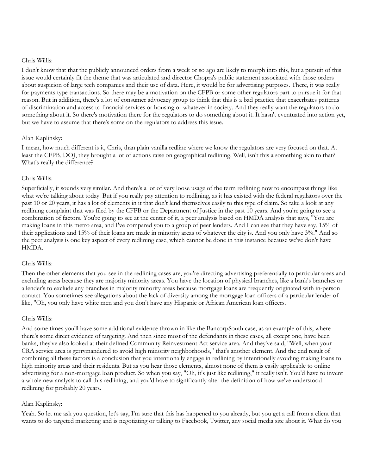#### Chris Willis:

I don't know that that the publicly announced orders from a week or so ago are likely to morph into this, but a pursuit of this issue would certainly fit the theme that was articulated and director Chopra's public statement associated with those orders about suspicion of large tech companies and their use of data. Here, it would be for advertising purposes. There, it was really for payments type transactions. So there may be a motivation on the CFPB or some other regulators part to pursue it for that reason. But in addition, there's a lot of consumer advocacy group to think that this is a bad practice that exacerbates patterns of discrimination and access to financial services or housing or whatever in society. And they really want the regulators to do something about it. So there's motivation there for the regulators to do something about it. It hasn't eventuated into action yet, but we have to assume that there's some on the regulators to address this issue.

## Alan Kaplinsky:

I mean, how much different is it, Chris, than plain vanilla redline where we know the regulators are very focused on that. At least the CFPB, DOJ, they brought a lot of actions raise on geographical redlining. Well, isn't this a something akin to that? What's really the difference?

## Chris Willis:

Superficially, it sounds very similar. And there's a lot of very loose usage of the term redlining now to encompass things like what we're talking about today. But if you really pay attention to redlining, as it has existed with the federal regulators over the past 10 or 20 years, it has a lot of elements in it that don't lend themselves easily to this type of claim. So take a look at any redlining complaint that was filed by the CFPB or the Department of Justice in the past 10 years. And you're going to see a combination of factors. You're going to see at the center of it, a peer analysis based on HMDA analysis that says, "You are making loans in this metro area, and I've compared you to a group of peer lenders. And I can see that they have say, 15% of their applications and 15% of their loans are made in minority areas of whatever the city is. And you only have 3%." And so the peer analysis is one key aspect of every redlining case, which cannot be done in this instance because we've don't have HMDA.

#### Chris Willis:

Then the other elements that you see in the redlining cases are, you're directing advertising preferentially to particular areas and excluding areas because they are majority minority areas. You have the location of physical branches, like a bank's branches or a lender's to exclude any branches in majority minority areas because mortgage loans are frequently originated with in-person contact. You sometimes see allegations about the lack of diversity among the mortgage loan officers of a particular lender of like, "Oh, you only have white men and you don't have any Hispanic or African American loan officers.

## Chris Willis:

And some times you'll have some additional evidence thrown in like the BancorpSouth case, as an example of this, where there's some direct evidence of targeting. And then since most of the defendants in these cases, all except one, have been banks, they've also looked at their defined Community Reinvestment Act service area. And they've said, "Well, when your CRA service area is gerrymandered to avoid high minority neighborhoods," that's another element. And the end result of combining all these factors is a conclusion that you intentionally engage in redlining by intentionally avoiding making loans to high minority areas and their residents. But as you hear those elements, almost none of them is easily applicable to online advertising for a non-mortgage loan product. So when you say, "Oh, it's just like redlining," it really isn't. You'd have to invent a whole new analysis to call this redlining, and you'd have to significantly alter the definition of how we've understood redlining for probably 20 years.

## Alan Kaplinsky:

Yeah. So let me ask you question, let's say, I'm sure that this has happened to you already, but you get a call from a client that wants to do targeted marketing and is negotiating or talking to Facebook, Twitter, any social media site about it. What do you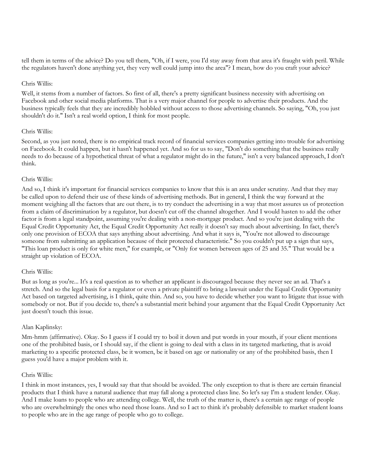tell them in terms of the advice? Do you tell them, "Oh, if I were, you I'd stay away from that area it's fraught with peril. While the regulators haven't done anything yet, they very well could jump into the area"? I mean, how do you craft your advice?

#### Chris Willis:

Well, it stems from a number of factors. So first of all, there's a pretty significant business necessity with advertising on Facebook and other social media platforms. That is a very major channel for people to advertise their products. And the business typically feels that they are incredibly hobbled without access to those advertising channels. So saying, "Oh, you just shouldn't do it." Isn't a real world option, I think for most people.

## Chris Willis:

Second, as you just noted, there is no empirical track record of financial services companies getting into trouble for advertising on Facebook. It could happen, but it hasn't happened yet. And so for us to say, "Don't do something that the business really needs to do because of a hypothetical threat of what a regulator might do in the future," isn't a very balanced approach, I don't think.

## Chris Willis:

And so, I think it's important for financial services companies to know that this is an area under scrutiny. And that they may be called upon to defend their use of these kinds of advertising methods. But in general, I think the way forward at the moment weighing all the factors that are out there, is to try conduct the advertising in a way that most assures us of protection from a claim of discrimination by a regulator, but doesn't cut off the channel altogether. And I would hasten to add the other factor is from a legal standpoint, assuming you're dealing with a non-mortgage product. And so you're just dealing with the Equal Credit Opportunity Act, the Equal Credit Opportunity Act really it doesn't say much about advertising. In fact, there's only one provision of ECOA that says anything about advertising. And what it says is, "You're not allowed to discourage someone from submitting an application because of their protected characteristic." So you couldn't put up a sign that says, "This loan product is only for white men," for example, or "Only for women between ages of 25 and 35." That would be a straight up violation of ECOA.

#### Chris Willis:

But as long as you're... It's a real question as to whether an applicant is discouraged because they never see an ad. That's a stretch. And so the legal basis for a regulator or even a private plaintiff to bring a lawsuit under the Equal Credit Opportunity Act based on targeted advertising, is I think, quite thin. And so, you have to decide whether you want to litigate that issue with somebody or not. But if you decide to, there's a substantial merit behind your argument that the Equal Credit Opportunity Act just doesn't touch this issue.

## Alan Kaplinsky:

Mm-hmm (affirmative). Okay. So I guess if I could try to boil it down and put words in your mouth, if your client mentions one of the prohibited basis, or I should say, if the client is going to deal with a class in its targeted marketing, that is avoid marketing to a specific protected class, be it women, be it based on age or nationality or any of the prohibited basis, then I guess you'd have a major problem with it.

## Chris Willis:

I think in most instances, yes, I would say that that should be avoided. The only exception to that is there are certain financial products that I think have a natural audience that may fall along a protected class line. So let's say I'm a student lender. Okay. And I make loans to people who are attending college. Well, the truth of the matter is, there's a certain age range of people who are overwhelmingly the ones who need those loans. And so I act to think it's probably defensible to market student loans to people who are in the age range of people who go to college.